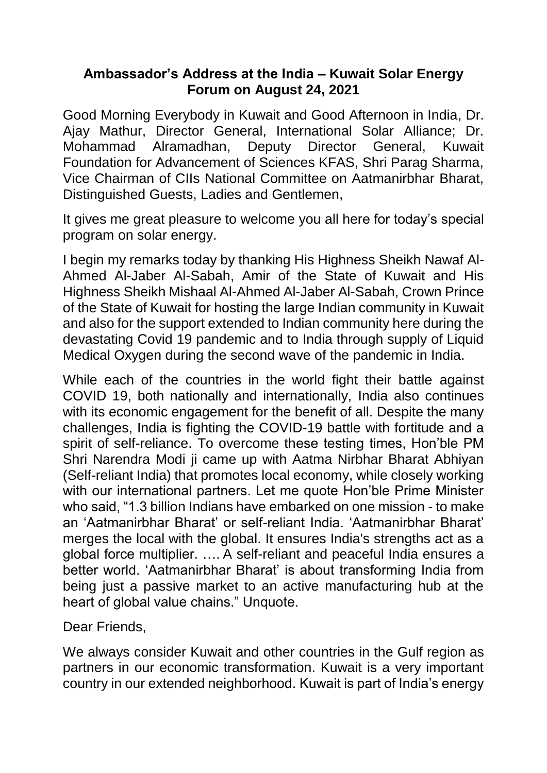## **Ambassador's Address at the India – Kuwait Solar Energy Forum on August 24, 2021**

Good Morning Everybody in Kuwait and Good Afternoon in India, Dr. Ajay Mathur, Director General, International Solar Alliance; Dr. Mohammad Alramadhan, Deputy Director General, Kuwait Foundation for Advancement of Sciences KFAS, Shri Parag Sharma, Vice Chairman of CIIs National Committee on Aatmanirbhar Bharat, Distinguished Guests, Ladies and Gentlemen,

It gives me great pleasure to welcome you all here for today's special program on solar energy.

I begin my remarks today by thanking His Highness Sheikh Nawaf Al-Ahmed Al-Jaber Al-Sabah, Amir of the State of Kuwait and His Highness Sheikh Mishaal Al-Ahmed Al-Jaber Al-Sabah, Crown Prince of the State of Kuwait for hosting the large Indian community in Kuwait and also for the support extended to Indian community here during the devastating Covid 19 pandemic and to India through supply of Liquid Medical Oxygen during the second wave of the pandemic in India.

While each of the countries in the world fight their battle against COVID 19, both nationally and internationally, India also continues with its economic engagement for the benefit of all. Despite the many challenges, India is fighting the COVID-19 battle with fortitude and a spirit of self-reliance. To overcome these testing times, Hon'ble PM Shri Narendra Modi ji came up with Aatma Nirbhar Bharat Abhiyan (Self-reliant India) that promotes local economy, while closely working with our international partners. Let me quote Hon'ble Prime Minister who said, "1.3 billion Indians have embarked on one mission - to make an 'Aatmanirbhar Bharat' or self-reliant India. 'Aatmanirbhar Bharat' merges the local with the global. It ensures India's strengths act as a global force multiplier. …. A self-reliant and peaceful India ensures a better world. 'Aatmanirbhar Bharat' is about transforming India from being just a passive market to an active manufacturing hub at the heart of global value chains." Unquote.

Dear Friends,

We always consider Kuwait and other countries in the Gulf region as partners in our economic transformation. Kuwait is a very important country in our extended neighborhood. Kuwait is part of India's energy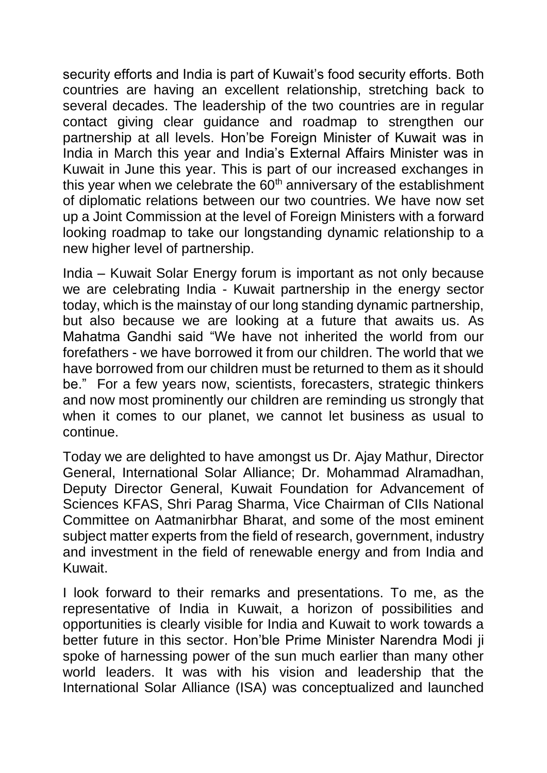security efforts and India is part of Kuwait's food security efforts. Both countries are having an excellent relationship, stretching back to several decades. The leadership of the two countries are in regular contact giving clear guidance and roadmap to strengthen our partnership at all levels. Hon'be Foreign Minister of Kuwait was in India in March this year and India's External Affairs Minister was in Kuwait in June this year. This is part of our increased exchanges in this year when we celebrate the  $60<sup>th</sup>$  anniversary of the establishment of diplomatic relations between our two countries. We have now set up a Joint Commission at the level of Foreign Ministers with a forward looking roadmap to take our longstanding dynamic relationship to a new higher level of partnership.

India – Kuwait Solar Energy forum is important as not only because we are celebrating India - Kuwait partnership in the energy sector today, which is the mainstay of our long standing dynamic partnership, but also because we are looking at a future that awaits us. As Mahatma Gandhi said "We have not inherited the world from our forefathers - we have borrowed it from our children. The world that we have borrowed from our children must be returned to them as it should be." For a few years now, scientists, forecasters, strategic thinkers and now most prominently our children are reminding us strongly that when it comes to our planet, we cannot let business as usual to continue.

Today we are delighted to have amongst us Dr. Ajay Mathur, Director General, International Solar Alliance; Dr. Mohammad Alramadhan, Deputy Director General, Kuwait Foundation for Advancement of Sciences KFAS, Shri Parag Sharma, Vice Chairman of CIIs National Committee on Aatmanirbhar Bharat, and some of the most eminent subject matter experts from the field of research, government, industry and investment in the field of renewable energy and from India and Kuwait.

I look forward to their remarks and presentations. To me, as the representative of India in Kuwait, a horizon of possibilities and opportunities is clearly visible for India and Kuwait to work towards a better future in this sector. Hon'ble Prime Minister Narendra Modi ji spoke of harnessing power of the sun much earlier than many other world leaders. It was with his vision and leadership that the International Solar Alliance (ISA) was conceptualized and launched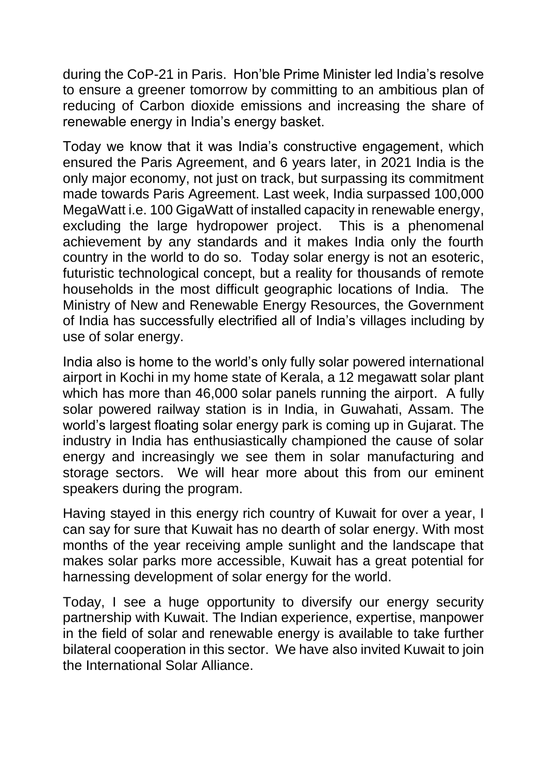during the CoP-21 in Paris. Hon'ble Prime Minister led India's resolve to ensure a greener tomorrow by committing to an ambitious plan of reducing of Carbon dioxide emissions and increasing the share of renewable energy in India's energy basket.

Today we know that it was India's constructive engagement, which ensured the Paris Agreement, and 6 years later, in 2021 India is the only major economy, not just on track, but surpassing its commitment made towards Paris Agreement. Last week, India surpassed 100,000 MegaWatt i.e. 100 GigaWatt of installed capacity in renewable energy, excluding the large hydropower project. This is a phenomenal achievement by any standards and it makes India only the fourth country in the world to do so. Today solar energy is not an esoteric, futuristic technological concept, but a reality for thousands of remote households in the most difficult geographic locations of India. The Ministry of New and Renewable Energy Resources, the Government of India has successfully electrified all of India's villages including by use of solar energy.

India also is home to the world's only fully solar powered international airport in Kochi in my home state of Kerala, a 12 megawatt solar plant which has more than 46,000 solar panels running the airport. A fully solar powered railway station is in India, in Guwahati, Assam. The world's largest floating solar energy park is coming up in Gujarat. The industry in India has enthusiastically championed the cause of solar energy and increasingly we see them in solar manufacturing and storage sectors. We will hear more about this from our eminent speakers during the program.

Having stayed in this energy rich country of Kuwait for over a year, I can say for sure that Kuwait has no dearth of solar energy. With most months of the year receiving ample sunlight and the landscape that makes solar parks more accessible, Kuwait has a great potential for harnessing development of solar energy for the world.

Today, I see a huge opportunity to diversify our energy security partnership with Kuwait. The Indian experience, expertise, manpower in the field of solar and renewable energy is available to take further bilateral cooperation in this sector. We have also invited Kuwait to join the International Solar Alliance.